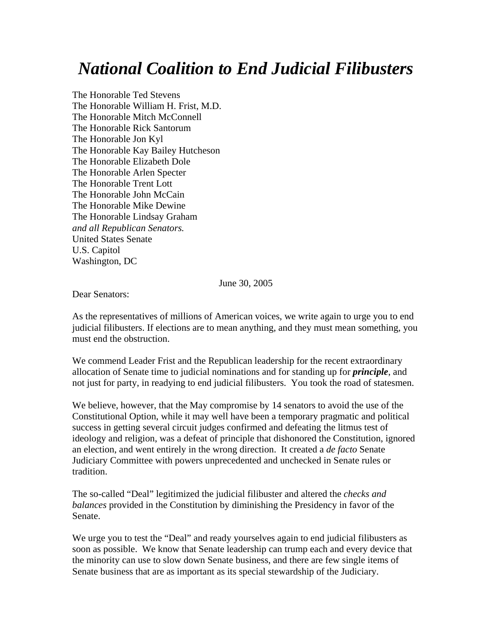## *National Coalition to End Judicial Filibusters*

The Honorable Ted Stevens The Honorable William H. Frist, M.D. The Honorable Mitch McConnell The Honorable Rick Santorum The Honorable Jon Kyl The Honorable Kay Bailey Hutcheson The Honorable Elizabeth Dole The Honorable Arlen Specter The Honorable Trent Lott The Honorable John McCain The Honorable Mike Dewine The Honorable Lindsay Graham *and all Republican Senators.*  United States Senate U.S. Capitol Washington, DC

June 30, 2005

Dear Senators:

As the representatives of millions of American voices, we write again to urge you to end judicial filibusters. If elections are to mean anything, and they must mean something, you must end the obstruction.

We commend Leader Frist and the Republican leadership for the recent extraordinary allocation of Senate time to judicial nominations and for standing up for *principle*, and not just for party, in readying to end judicial filibusters. You took the road of statesmen.

We believe, however, that the May compromise by 14 senators to avoid the use of the Constitutional Option, while it may well have been a temporary pragmatic and political success in getting several circuit judges confirmed and defeating the litmus test of ideology and religion, was a defeat of principle that dishonored the Constitution, ignored an election, and went entirely in the wrong direction. It created a *de facto* Senate Judiciary Committee with powers unprecedented and unchecked in Senate rules or tradition.

The so-called "Deal" legitimized the judicial filibuster and altered the *checks and balances* provided in the Constitution by diminishing the Presidency in favor of the Senate.

We urge you to test the "Deal" and ready yourselves again to end judicial filibusters as soon as possible. We know that Senate leadership can trump each and every device that the minority can use to slow down Senate business, and there are few single items of Senate business that are as important as its special stewardship of the Judiciary.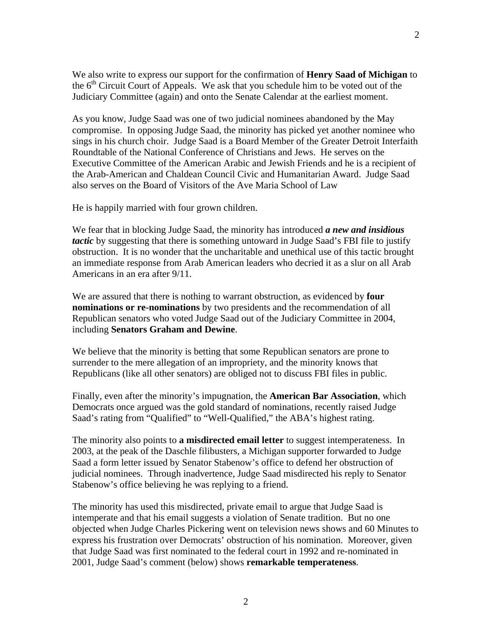We also write to express our support for the confirmation of **Henry Saad of Michigan** to the  $6<sup>th</sup>$  Circuit Court of Appeals. We ask that you schedule him to be voted out of the Judiciary Committee (again) and onto the Senate Calendar at the earliest moment.

As you know, Judge Saad was one of two judicial nominees abandoned by the May compromise. In opposing Judge Saad, the minority has picked yet another nominee who sings in his church choir. Judge Saad is a Board Member of the Greater Detroit Interfaith Roundtable of the National Conference of Christians and Jews. He serves on the Executive Committee of the American Arabic and Jewish Friends and he is a recipient of the Arab-American and Chaldean Council Civic and Humanitarian Award. Judge Saad also serves on the Board of Visitors of the Ave Maria School of Law

He is happily married with four grown children.

We fear that in blocking Judge Saad, the minority has introduced *a new and insidious tactic* by suggesting that there is something untoward in Judge Saad's FBI file to justify obstruction. It is no wonder that the uncharitable and unethical use of this tactic brought an immediate response from Arab American leaders who decried it as a slur on all Arab Americans in an era after 9/11.

We are assured that there is nothing to warrant obstruction, as evidenced by **four nominations or re-nominations** by two presidents and the recommendation of all Republican senators who voted Judge Saad out of the Judiciary Committee in 2004, including **Senators Graham and Dewine**.

We believe that the minority is betting that some Republican senators are prone to surrender to the mere allegation of an impropriety, and the minority knows that Republicans (like all other senators) are obliged not to discuss FBI files in public.

Finally, even after the minority's impugnation, the **American Bar Association**, which Democrats once argued was the gold standard of nominations, recently raised Judge Saad's rating from "Qualified" to "Well-Qualified," the ABA's highest rating.

The minority also points to **a misdirected email letter** to suggest intemperateness. In 2003, at the peak of the Daschle filibusters, a Michigan supporter forwarded to Judge Saad a form letter issued by Senator Stabenow's office to defend her obstruction of judicial nominees. Through inadvertence, Judge Saad misdirected his reply to Senator Stabenow's office believing he was replying to a friend.

The minority has used this misdirected, private email to argue that Judge Saad is intemperate and that his email suggests a violation of Senate tradition. But no one objected when Judge Charles Pickering went on television news shows and 60 Minutes to express his frustration over Democrats' obstruction of his nomination. Moreover, given that Judge Saad was first nominated to the federal court in 1992 and re-nominated in 2001, Judge Saad's comment (below) shows **remarkable temperateness**.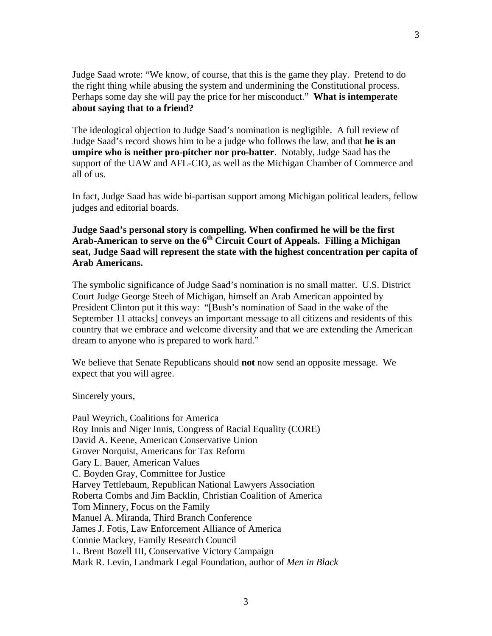Judge Saad wrote: "We know, of course, that this is the game they play. Pretend to do the right thing while abusing the system and undermining the Constitutional process. Perhaps some day she will pay the price for her misconduct." **What is intemperate about saying that to a friend?** 

The ideological objection to Judge Saad's nomination is negligible. A full review of Judge Saad's record shows him to be a judge who follows the law, and that **he is an umpire who is neither pro-pitcher nor pro-batter**. Notably, Judge Saad has the support of the UAW and AFL-CIO, as well as the Michigan Chamber of Commerce and all of us.

In fact, Judge Saad has wide bi-partisan support among Michigan political leaders, fellow judges and editorial boards.

**Judge Saad's personal story is compelling. When confirmed he will be the first**  Arab-American to serve on the 6<sup>th</sup> Circuit Court of Appeals. Filling a Michigan **seat, Judge Saad will represent the state with the highest concentration per capita of Arab Americans.** 

The symbolic significance of Judge Saad's nomination is no small matter. U.S. District Court Judge George Steeh of Michigan, himself an Arab American appointed by President Clinton put it this way: "[Bush's nomination of Saad in the wake of the September 11 attacks] conveys an important message to all citizens and residents of this country that we embrace and welcome diversity and that we are extending the American dream to anyone who is prepared to work hard."

We believe that Senate Republicans should **not** now send an opposite message. We expect that you will agree.

Sincerely yours,

Paul Weyrich, Coalitions for America Roy Innis and Niger Innis, Congress of Racial Equality (CORE) David A. Keene, American Conservative Union Grover Norquist, Americans for Tax Reform Gary L. Bauer, American Values C. Boyden Gray, Committee for Justice Harvey Tettlebaum, Republican National Lawyers Association Roberta Combs and Jim Backlin, Christian Coalition of America Tom Minnery, Focus on the Family Manuel A. Miranda, Third Branch Conference James J. Fotis, Law Enforcement Alliance of America Connie Mackey, Family Research Council L. Brent Bozell III, Conservative Victory Campaign Mark R. Levin, Landmark Legal Foundation, author of *Men in Black*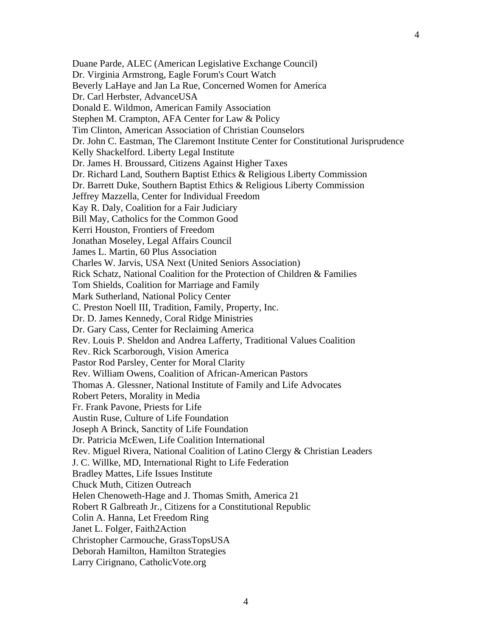4

Duane Parde, ALEC (American Legislative Exchange Council) Dr. Virginia Armstrong, Eagle Forum's Court Watch Beverly LaHaye and Jan La Rue, Concerned Women for America Dr. Carl Herbster, AdvanceUSA Donald E. Wildmon, American Family Association Stephen M. Crampton, AFA Center for Law & Policy Tim Clinton, American Association of Christian Counselors Dr. John C. Eastman, The Claremont Institute Center for Constitutional Jurisprudence Kelly Shackelford. Liberty Legal Institute Dr. James H. Broussard, Citizens Against Higher Taxes Dr. Richard Land, Southern Baptist Ethics & Religious Liberty Commission Dr. Barrett Duke, Southern Baptist Ethics & Religious Liberty Commission Jeffrey Mazzella, Center for Individual Freedom Kay R. Daly, Coalition for a Fair Judiciary Bill May, Catholics for the Common Good Kerri Houston, Frontiers of Freedom Jonathan Moseley, Legal Affairs Council James L. Martin, 60 Plus Association Charles W. Jarvis, USA Next (United Seniors Association) Rick Schatz, National Coalition for the Protection of Children & Families Tom Shields, Coalition for Marriage and Family Mark Sutherland, National Policy Center C. Preston Noell III, Tradition, Family, Property, Inc. Dr. D. James Kennedy, Coral Ridge Ministries Dr. Gary Cass, Center for Reclaiming America Rev. Louis P. Sheldon and Andrea Lafferty, Traditional Values Coalition Rev. Rick Scarborough, Vision America Pastor Rod Parsley, Center for Moral Clarity Rev. William Owens, Coalition of African-American Pastors Thomas A. Glessner, National Institute of Family and Life Advocates Robert Peters, Morality in Media Fr. Frank Pavone, Priests for Life Austin Ruse, Culture of Life Foundation Joseph A Brinck, Sanctity of Life Foundation Dr. Patricia McEwen, Life Coalition International Rev. Miguel Rivera, National Coalition of Latino Clergy & Christian Leaders J. C. Willke, MD, International Right to Life Federation Bradley Mattes, Life Issues Institute Chuck Muth, Citizen Outreach Helen Chenoweth-Hage and J. Thomas Smith, America 21 Robert R Galbreath Jr., Citizens for a Constitutional Republic Colin A. Hanna, Let Freedom Ring Janet L. Folger, Faith2Action Christopher Carmouche, GrassTopsUSA Deborah Hamilton, Hamilton Strategies

Larry Cirignano, CatholicVote.org